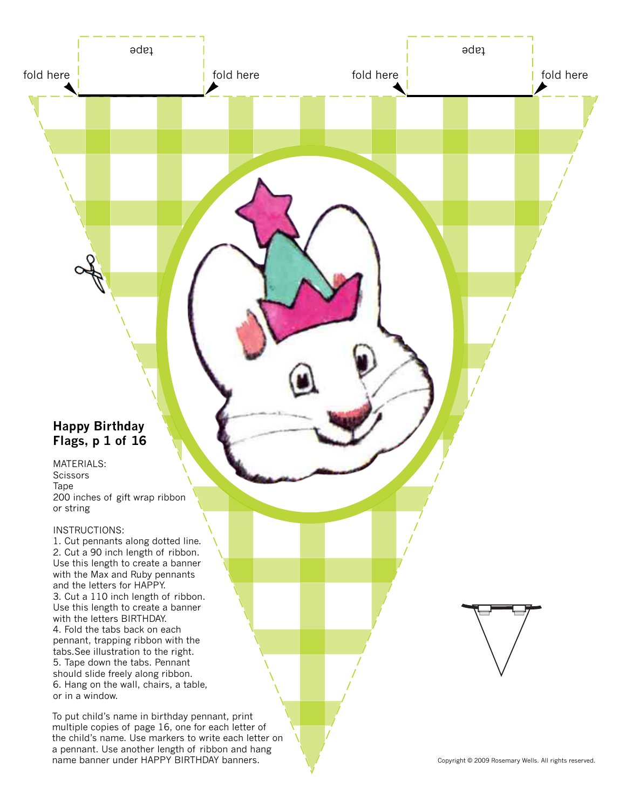# **Happy Birthday Flags, p 1 of 16**

MATERIALS: **Scissors** Tape 200 inches of gift wrap ribbon or string

fold here  $\frac{1}{2}$  fold here

tape tapes and the second second second second second second second second second second second second second

## INSTRUCTIONS:

1. Cut pennants along dotted line. 2. Cut a 90 inch length of ribbon. Use this length to create a banner with the Max and Ruby pennants and the letters for HAPPY. 3. Cut a 110 inch length of ribbon. Use this length to create a banner with the letters BIRTHDAY. 4. Fold the tabs back on each pennant, trapping ribbon with the tabs.See illustration to the right. 5. Tape down the tabs. Pennant should slide freely along ribbon. 6. Hang on the wall, chairs, a table, or in a window.

To put child's name in birthday pennant, print multiple copies of page 16, one for each letter of the child's name. Use markers to write each letter on a pennant. Use another length of ribbon and hang name banner under HAPPY BIRTHDAY banners. Noted that the Copyright © 2009 Rosemary Wells. All rights reserved.

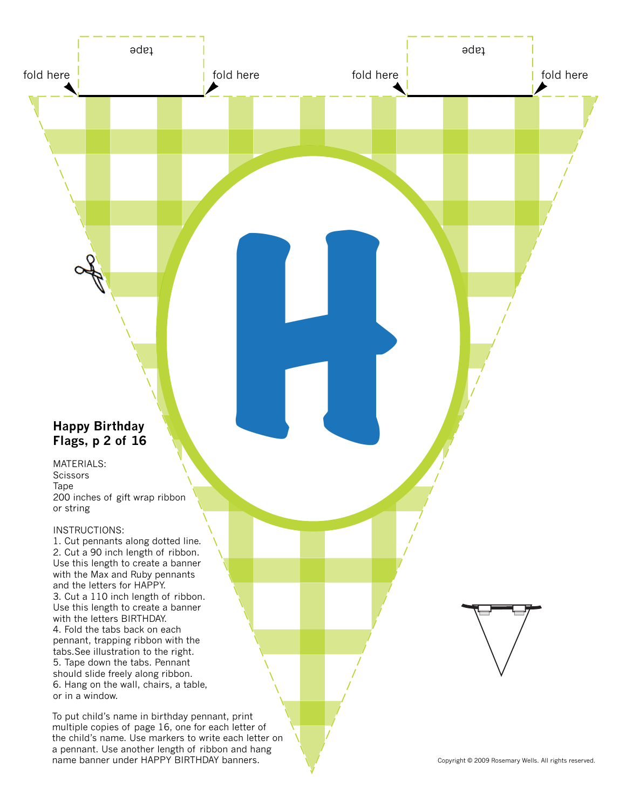# **Happy Birthday Flags, p 2 of 16**

MATERIALS: **Scissors** Tape 200 inches of gift wrap ribbon or string **<sup>2</sup>** H

fold here  $\frac{1}{2}$  fold here

tape tapes and the second second second second second second second second second second second second second

## INSTRUCTIONS:

1. Cut pennants along dotted line. 2. Cut a 90 inch length of ribbon. Use this length to create a banner with the Max and Ruby pennants and the letters for HAPPY. 3. Cut a 110 inch length of ribbon. Use this length to create a banner with the letters BIRTHDAY. 4. Fold the tabs back on each pennant, trapping ribbon with the tabs.See illustration to the right. 5. Tape down the tabs. Pennant should slide freely along ribbon. 6. Hang on the wall, chairs, a table, or in a window.

To put child's name in birthday pennant, print multiple copies of page 16, one for each letter of the child's name. Use markers to write each letter on a pennant. Use another length of ribbon and hang name banner under HAPPY BIRTHDAY banners. Noted that the Copyright © 2009 Rosemary Wells. All rights reserved.

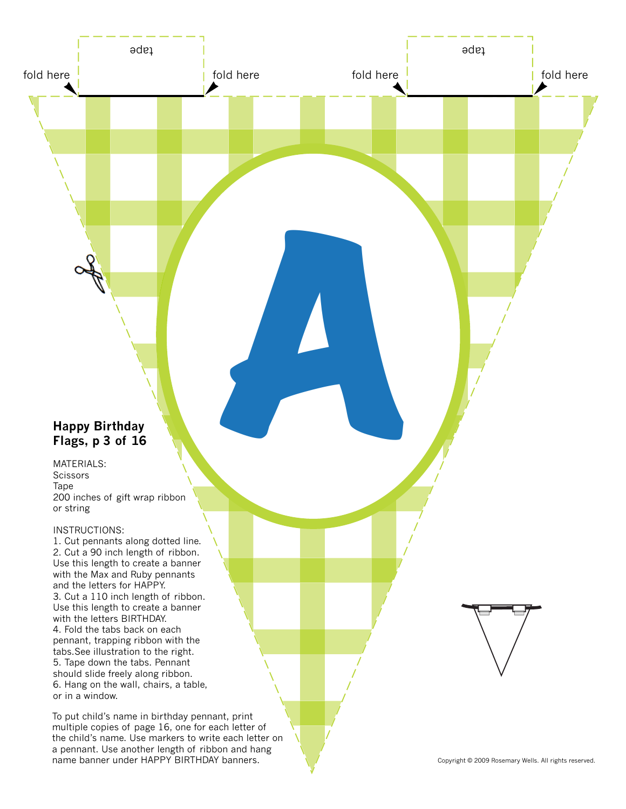# **Happy Birthday Flags, p 3 of 16**

MATERIALS: **Scissors** Tape 200 inches of gift wrap ribbon or string

fold here  $\frac{1}{2}$  fold here

tape tapes and the second second second second second second second second second second second second second

A

### INSTRUCTIONS:

1. Cut pennants along dotted line. 2. Cut a 90 inch length of ribbon. Use this length to create a banner with the Max and Ruby pennants and the letters for HAPPY. 3. Cut a 110 inch length of ribbon. Use this length to create a banner with the letters BIRTHDAY. 4. Fold the tabs back on each pennant, trapping ribbon with the tabs.See illustration to the right. 5. Tape down the tabs. Pennant should slide freely along ribbon. 6. Hang on the wall, chairs, a table, or in a window.

To put child's name in birthday pennant, print multiple copies of page 16, one for each letter of the child's name. Use markers to write each letter on a pennant. Use another length of ribbon and hang name banner under HAPPY BIRTHDAY banners. Noted that the Copyright © 2009 Rosemary Wells. All rights reserved.

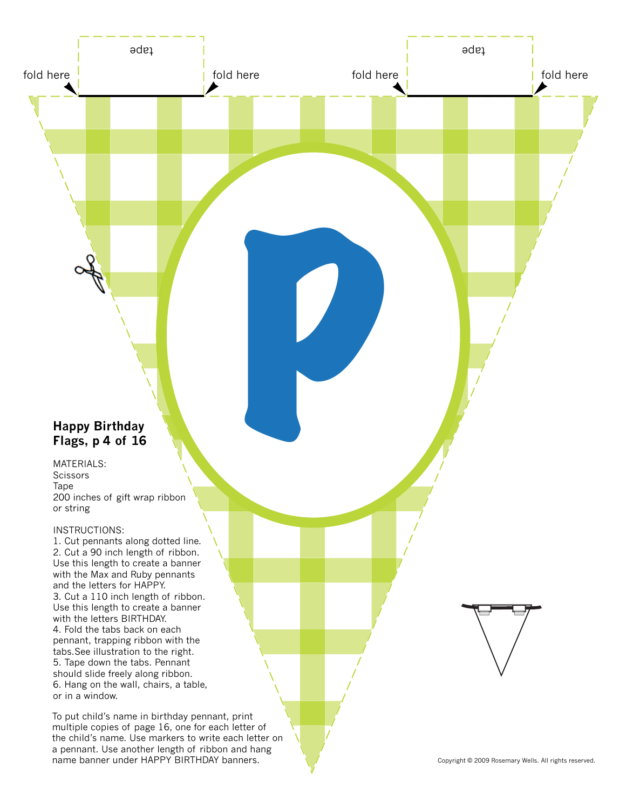# **Happy Birthday Flags, p 4 of 16**

MATERIALS: **Scissors** Tape 200 inches of gift wrap ribbon or string

fold here  $\frac{1}{2}$  fold here

tape tapes and the second second second second second second second second second second second second second

POSTAGE REAL

### INSTRUCTIONS:

1. Cut pennants along dotted line. 2. Cut a 90 inch length of ribbon. Use this length to create a banner with the Max and Ruby pennants and the letters for HAPPY. 3. Cut a 110 inch length of ribbon. Use this length to create a banner with the letters BIRTHDAY. 4. Fold the tabs back on each pennant, trapping ribbon with the tabs.See illustration to the right. 5. Tape down the tabs. Pennant should slide freely along ribbon. 6. Hang on the wall, chairs, a table, or in a window.

To put child's name in birthday pennant, print multiple copies of page 16, one for each letter of the child's name. Use markers to write each letter on a pennant. Use another length of ribbon and hang name banner under HAPPY BIRTHDAY banners. Noted that the Copyright © 2009 Rosemary Wells. All rights reserved.

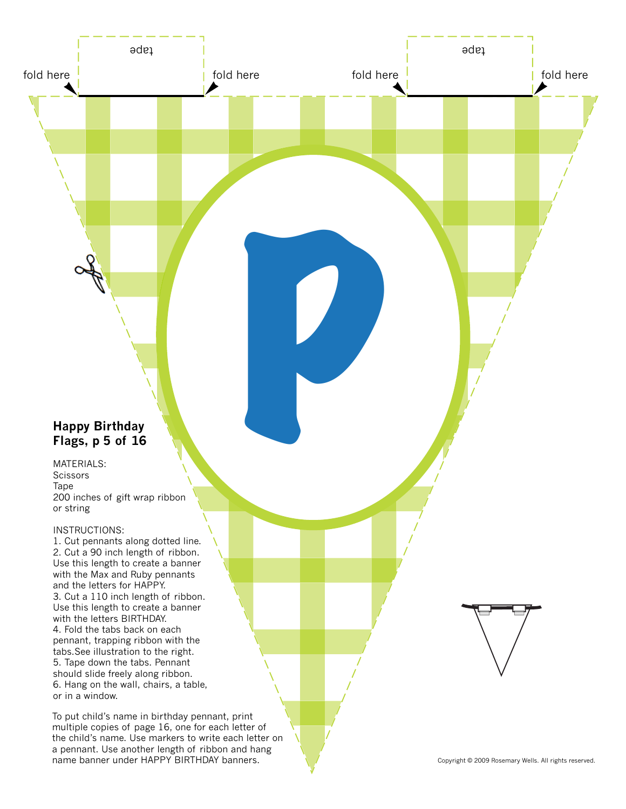# **Happy Birthday Flags, p of 16**

MATERIALS: **Scissors** Tape 200 inches of gift wrap ribbon or string **11thday**<br>5 of 16

fold here  $\frac{1}{2}$  fold here

tape tapes and the second second second second second second second second second second second second second

### INSTRUCTIONS:

1. Cut pennants along dotted line. 2. Cut a 90 inch length of ribbon. Use this length to create a banner with the Max and Ruby pennants and the letters for HAPPY. 3. Cut a 110 inch length of ribbon. Use this length to create a banner with the letters BIRTHDAY. 4. Fold the tabs back on each pennant, trapping ribbon with the tabs.See illustration to the right. 5. Tape down the tabs. Pennant should slide freely along ribbon. 6. Hang on the wall, chairs, a table, or in a window.

To put child's name in birthday pennant, print multiple copies of page 16, one for each letter of the child's name. Use markers to write each letter on a pennant. Use another length of ribbon and hang name banner under HAPPY BIRTHDAY banners. Noted that the Copyright © 2009 Rosemary Wells. All rights reserved.

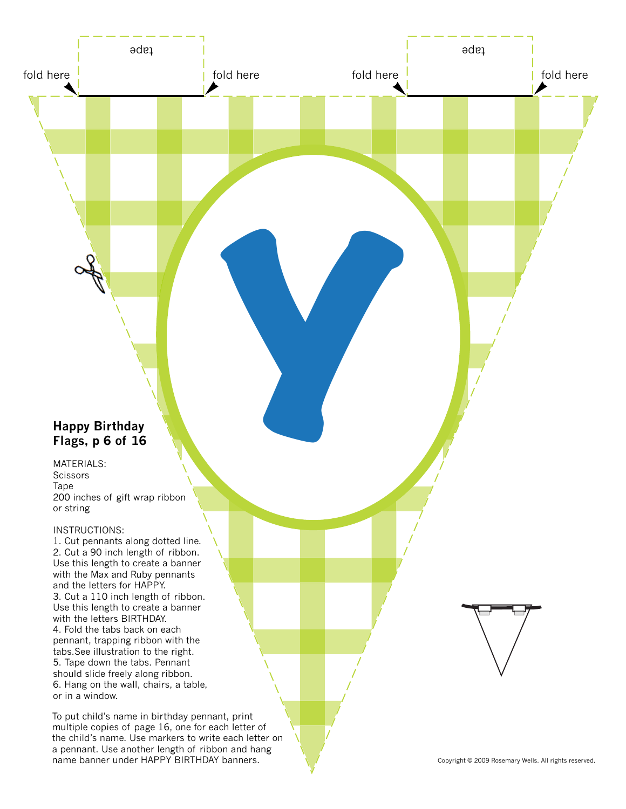## **Happy Birthday Flags, p of 16**

MATERIALS: **Scissors** Tape 200 inches of gift wrap ribbon or string **CONSUMERENT CONSUMER**<br> **6** Of 16

fold here  $\frac{1}{2}$  fold here

tape tapes and the second second second second second second second second second second second second second

## INSTRUCTIONS:

1. Cut pennants along dotted line. 2. Cut a 90 inch length of ribbon. Use this length to create a banner with the Max and Ruby pennants and the letters for HAPPY. 3. Cut a 110 inch length of ribbon. Use this length to create a banner with the letters BIRTHDAY. 4. Fold the tabs back on each pennant, trapping ribbon with the tabs.See illustration to the right. 5. Tape down the tabs. Pennant should slide freely along ribbon. 6. Hang on the wall, chairs, a table, or in a window.

To put child's name in birthday pennant, print multiple copies of page 16, one for each letter of the child's name. Use markers to write each letter on a pennant. Use another length of ribbon and hang name banner under HAPPY BIRTHDAY banners. Noted that the Copyright © 2009 Rosemary Wells. All rights reserved.

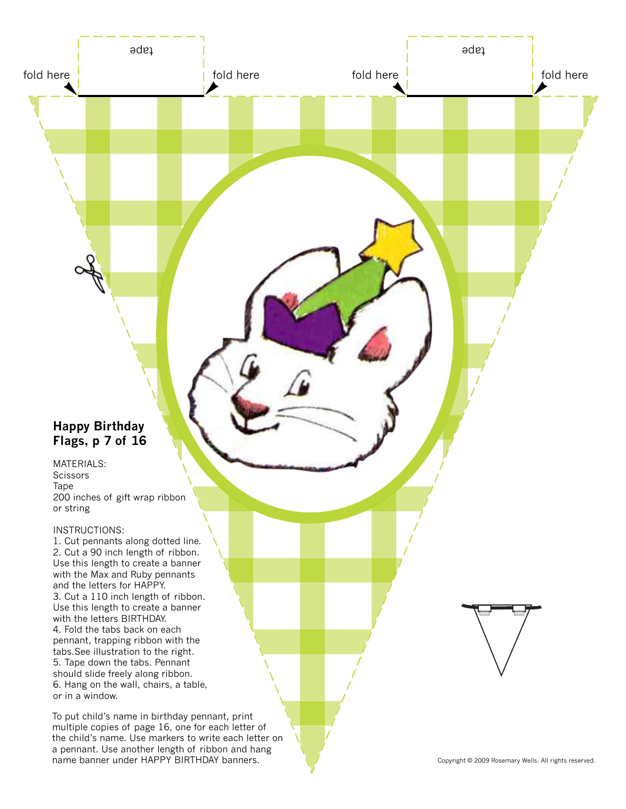# **Happy Birthday Flags, p 7 of 16**

MATERIALS: **Scissors** Tape 200 inches of gift wrap ribbon or string

fold here  $\frac{1}{2}$  fold here

tape tapes and the second second second second second second second second second second second second second

### INSTRUCTIONS:

1. Cut pennants along dotted line. 2. Cut a 90 inch length of ribbon. Use this length to create a banner with the Max and Ruby pennants and the letters for HAPPY. 3. Cut a 110 inch length of ribbon. Use this length to create a banner with the letters BIRTHDAY. 4. Fold the tabs back on each pennant, trapping ribbon with the tabs.See illustration to the right. 5. Tape down the tabs. Pennant should slide freely along ribbon. 6. Hang on the wall, chairs, a table, or in a window.

To put child's name in birthday pennant, print multiple copies of page 16, one for each letter of the child's name. Use markers to write each letter on a pennant. Use another length of ribbon and hang name banner under HAPPY BIRTHDAY banners. Noted that the Copyright © 2009 Rosemary Wells. All rights reserved.

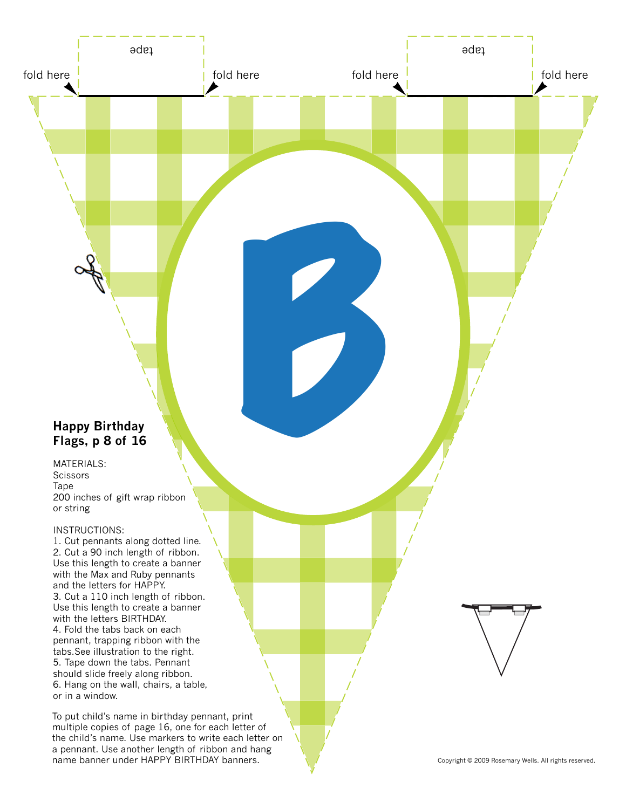# **Happy Birthday Flags, p 8 of 16**

MATERIALS: **Scissors** Tape 200 inches of gift wrap ribbon or string

fold here  $\frac{1}{2}$  fold here

tape tapes and the second second second second second second second second second second second second second

B

### INSTRUCTIONS:

1. Cut pennants along dotted line. 2. Cut a 90 inch length of ribbon. Use this length to create a banner with the Max and Ruby pennants and the letters for HAPPY. 3. Cut a 110 inch length of ribbon. Use this length to create a banner with the letters BIRTHDAY. 4. Fold the tabs back on each pennant, trapping ribbon with the tabs.See illustration to the right. 5. Tape down the tabs. Pennant should slide freely along ribbon. 6. Hang on the wall, chairs, a table, or in a window.

To put child's name in birthday pennant, print multiple copies of page 16, one for each letter of the child's name. Use markers to write each letter on a pennant. Use another length of ribbon and hang name banner under HAPPY BIRTHDAY banners. Copyright © 2009 Rosemary Wells. All rights reserved.

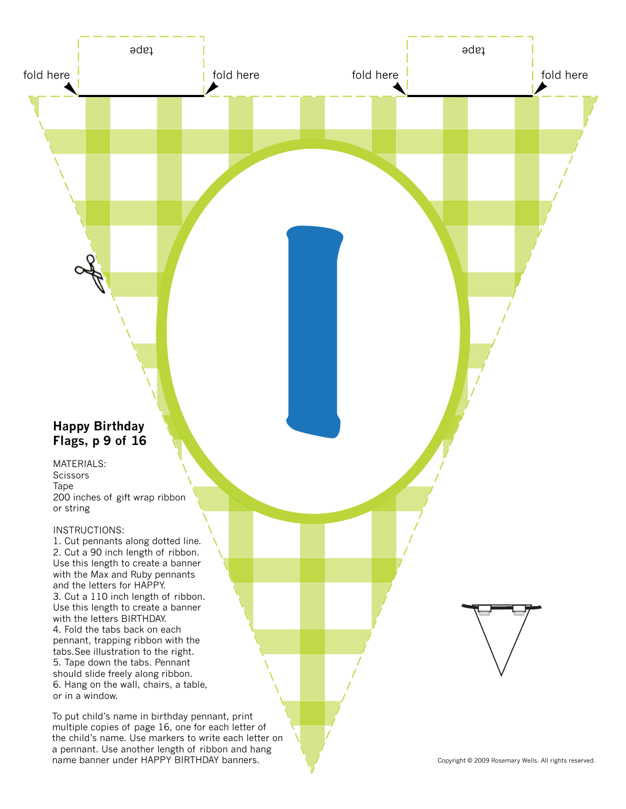# **Happy Birthday Flags, p of 16 9**

MATERIALS: **Scissors** Tape 200 inches of gift wrap ribbon or string

fold here  $\frac{1}{2}$  fold here

tape tapes and the second second second second second second second second second second second second second

I

## INSTRUCTIONS:

1. Cut pennants along dotted line. 2. Cut a 90 inch length of ribbon. Use this length to create a banner with the Max and Ruby pennants and the letters for HAPPY. 3. Cut a 110 inch length of ribbon. Use this length to create a banner with the letters BIRTHDAY. 4. Fold the tabs back on each pennant, trapping ribbon with the tabs.See illustration to the right. 5. Tape down the tabs. Pennant should slide freely along ribbon. 6. Hang on the wall, chairs, a table, or in a window.

To put child's name in birthday pennant, print multiple copies of page 16, one for each letter of the child's name. Use markers to write each letter on a pennant. Use another length of ribbon and hang name banner under HAPPY BIRTHDAY banners. Noted that the Copyright © 2009 Rosemary Wells. All rights reserved.

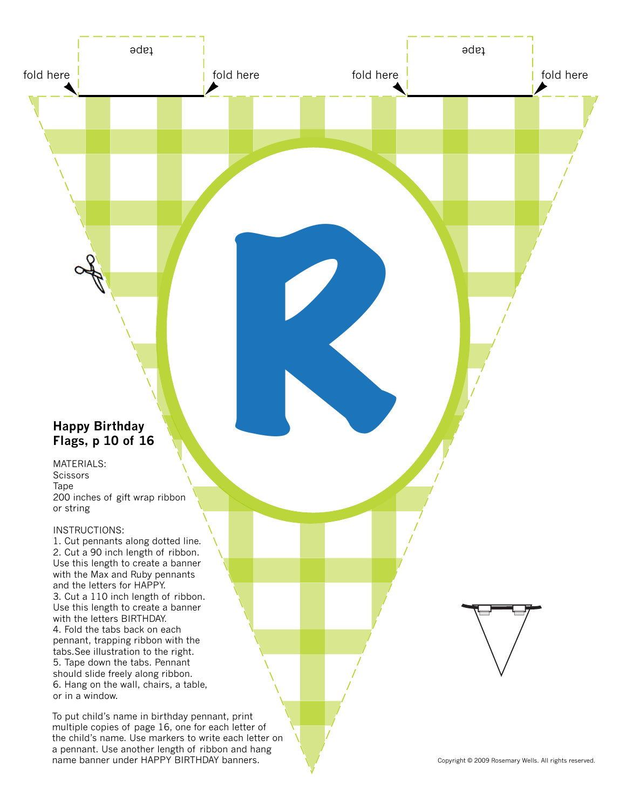# **Happy Birthday Flags, p 10 of 16**

MATERIALS: **Scissors** Tape 200 inches of gift wrap ribbon or string

fold here  $\frac{1}{2}$  fold here

tape tapes and the second second second second second second second second second second second second second

R

### INSTRUCTIONS:

1. Cut pennants along dotted line. 2. Cut a 90 inch length of ribbon. Use this length to create a banner with the Max and Ruby pennants and the letters for HAPPY. 3. Cut a 110 inch length of ribbon. Use this length to create a banner with the letters BIRTHDAY. 4. Fold the tabs back on each pennant, trapping ribbon with the tabs.See illustration to the right. 5. Tape down the tabs. Pennant should slide freely along ribbon. 6. Hang on the wall, chairs, a table, or in a window.

To put child's name in birthday pennant, print multiple copies of page 16, one for each letter of the child's name. Use markers to write each letter on a pennant. Use another length of ribbon and hang name banner under HAPPY BIRTHDAY banners. Noted that the Copyright © 2009 Rosemary Wells. All rights reserved.

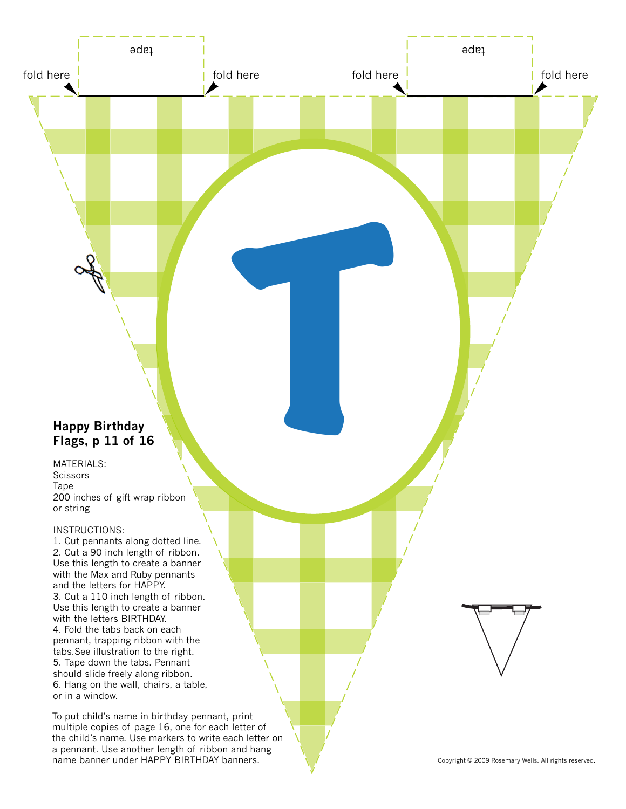# **Happy Birthday Flags, p 11 of 16**

MATERIALS: **Scissors** Tape 200 inches of gift wrap ribbon or string

fold here  $\frac{1}{2}$  fold here

tape tapes and the second second second second second second second second second second second second second

T

### INSTRUCTIONS:

1. Cut pennants along dotted line. 2. Cut a 90 inch length of ribbon. Use this length to create a banner with the Max and Ruby pennants and the letters for HAPPY. 3. Cut a 110 inch length of ribbon. Use this length to create a banner with the letters BIRTHDAY. 4. Fold the tabs back on each pennant, trapping ribbon with the tabs.See illustration to the right. 5. Tape down the tabs. Pennant should slide freely along ribbon. 6. Hang on the wall, chairs, a table, or in a window.

To put child's name in birthday pennant, print multiple copies of page 16, one for each letter of the child's name. Use markers to write each letter on a pennant. Use another length of ribbon and hang name banner under HAPPY BIRTHDAY banners. Noted that the Copyright © 2009 Rosemary Wells. All rights reserved.

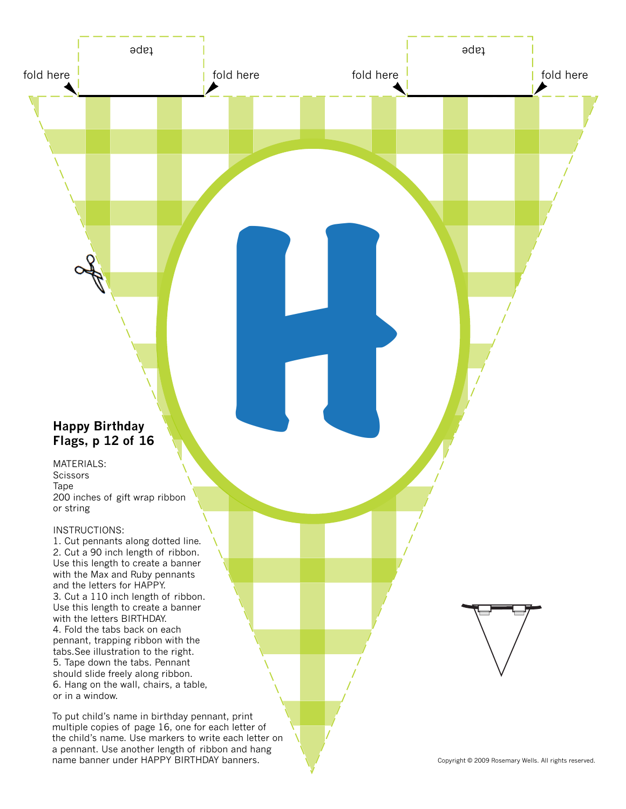# **Happy Birthday Flags, p 12 of 16**

MATERIALS: **Scissors** Tape 200 inches of gift wrap ribbon or string

fold here  $\frac{1}{2}$  fold here

tape tapes and the second second second second second second second second second second second second second

H

## INSTRUCTIONS:

1. Cut pennants along dotted line. 2. Cut a 90 inch length of ribbon. Use this length to create a banner with the Max and Ruby pennants and the letters for HAPPY. 3. Cut a 110 inch length of ribbon. Use this length to create a banner with the letters BIRTHDAY. 4. Fold the tabs back on each pennant, trapping ribbon with the tabs.See illustration to the right. 5. Tape down the tabs. Pennant should slide freely along ribbon. 6. Hang on the wall, chairs, a table, or in a window.

To put child's name in birthday pennant, print multiple copies of page 16, one for each letter of the child's name. Use markers to write each letter on a pennant. Use another length of ribbon and hang name banner under HAPPY BIRTHDAY banners. Noted that the Copyright © 2009 Rosemary Wells. All rights reserved.

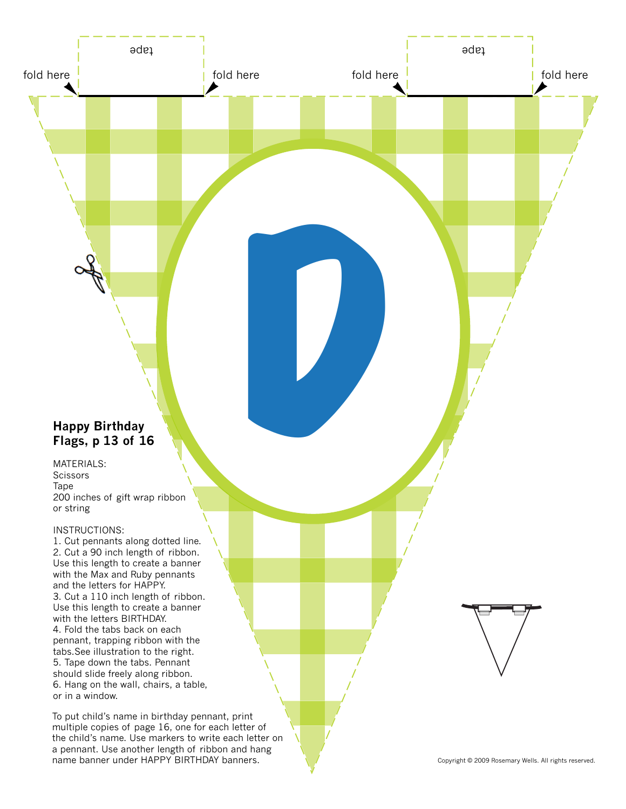# **Happy Birthday Flags, p 13 of 16**

MATERIALS: **Scissors** Tape 200 inches of gift wrap ribbon or string

fold here  $\frac{1}{2}$  fold here

tape tapes and the second second second second second second second second second second second second second

DE DE DESEMBRE

### INSTRUCTIONS:

1. Cut pennants along dotted line. 2. Cut a 90 inch length of ribbon. Use this length to create a banner with the Max and Ruby pennants and the letters for HAPPY. 3. Cut a 110 inch length of ribbon. Use this length to create a banner with the letters BIRTHDAY. 4. Fold the tabs back on each pennant, trapping ribbon with the tabs.See illustration to the right. 5. Tape down the tabs. Pennant should slide freely along ribbon. 6. Hang on the wall, chairs, a table, or in a window.

To put child's name in birthday pennant, print multiple copies of page 16, one for each letter of the child's name. Use markers to write each letter on a pennant. Use another length of ribbon and hang name banner under HAPPY BIRTHDAY banners. Noted that the Copyright © 2009 Rosemary Wells. All rights reserved.

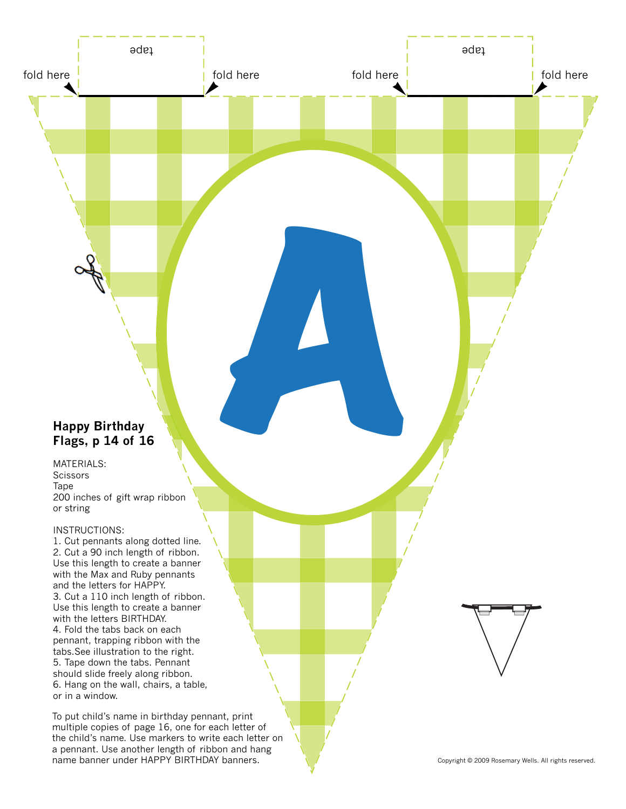# **Happy Birthday Flags, p 14 of 16**

MATERIALS: **Scissors** Tape 200 inches of gift wrap ribbon or string

fold here  $\frac{1}{2}$  fold here

tape tapes and the second second second second second second second second second second second second second

A

### INSTRUCTIONS:

1. Cut pennants along dotted line. 2. Cut a 90 inch length of ribbon. Use this length to create a banner with the Max and Ruby pennants and the letters for HAPPY. 3. Cut a 110 inch length of ribbon. Use this length to create a banner with the letters BIRTHDAY. 4. Fold the tabs back on each pennant, trapping ribbon with the tabs.See illustration to the right. 5. Tape down the tabs. Pennant should slide freely along ribbon. 6. Hang on the wall, chairs, a table, or in a window.

To put child's name in birthday pennant, print multiple copies of page 16, one for each letter of the child's name. Use markers to write each letter on a pennant. Use another length of ribbon and hang name banner under HAPPY BIRTHDAY banners. Noted that the Copyright © 2009 Rosemary Wells. All rights reserved.

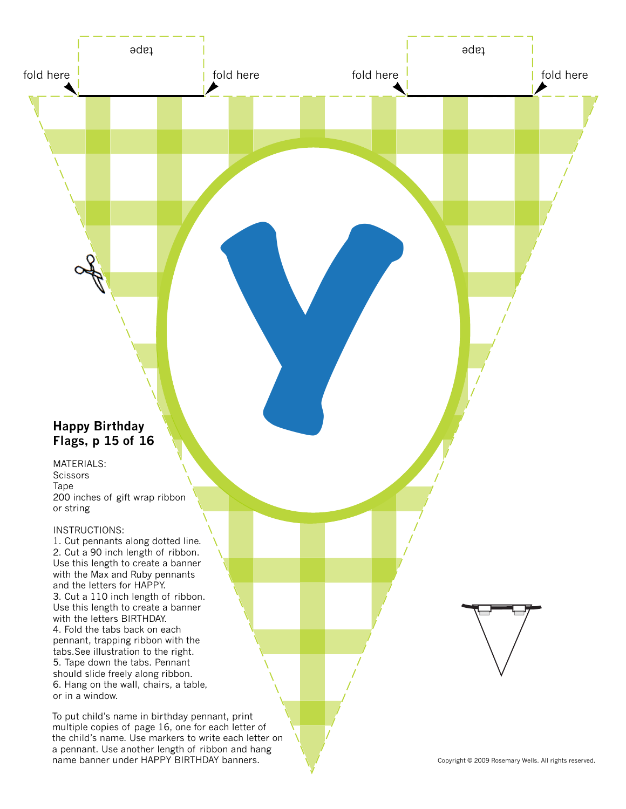# **Happy Birthday Flags, p 15 of 16**

MATERIALS: **Scissors** Tape 200 inches of gift wrap ribbon or string

fold here  $\frac{1}{2}$  fold here

tape tapes and the second second second second second second second second second second second second second

Y NOW

### INSTRUCTIONS:

1. Cut pennants along dotted line. 2. Cut a 90 inch length of ribbon. Use this length to create a banner with the Max and Ruby pennants and the letters for HAPPY. 3. Cut a 110 inch length of ribbon. Use this length to create a banner with the letters BIRTHDAY. 4. Fold the tabs back on each pennant, trapping ribbon with the tabs.See illustration to the right. 5. Tape down the tabs. Pennant should slide freely along ribbon. 6. Hang on the wall, chairs, a table, or in a window.

To put child's name in birthday pennant, print multiple copies of page 16, one for each letter of the child's name. Use markers to write each letter on a pennant. Use another length of ribbon and hang name banner under HAPPY BIRTHDAY banners. Noted that the Copyright © 2009 Rosemary Wells. All rights reserved.